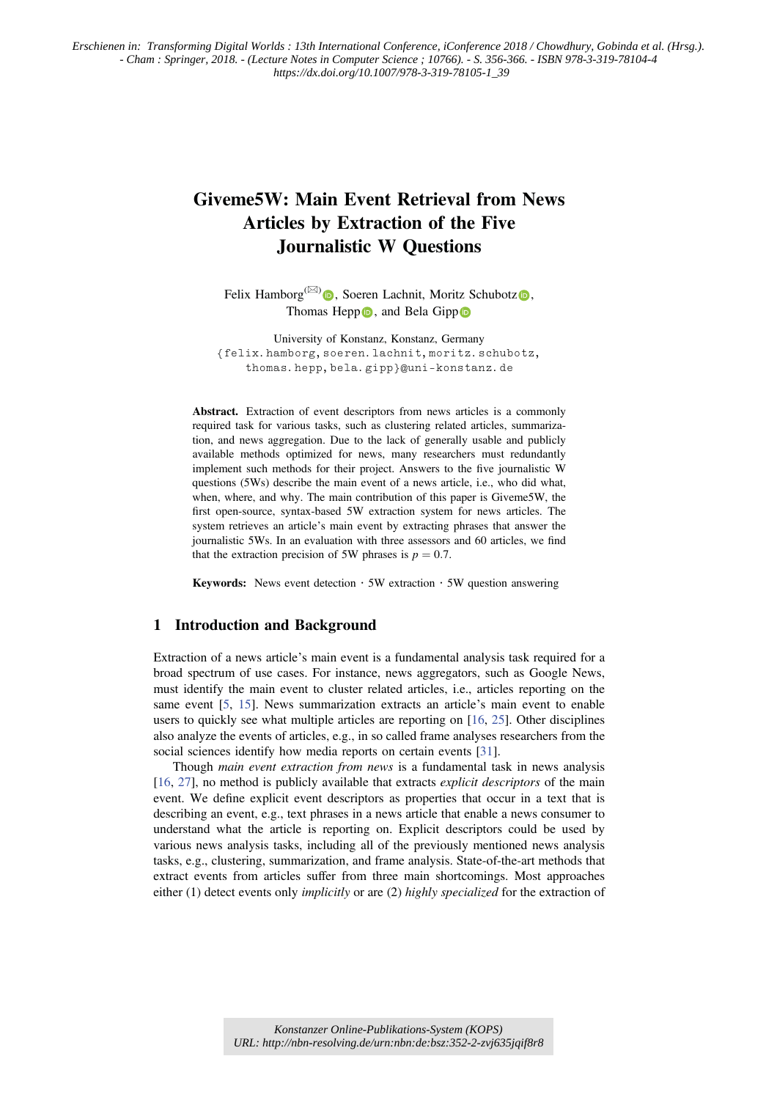# Giveme5W: Main Event Retrieval from News Articles by Extraction of the Five Journalistic W Questions

Felix Hamborg<sup>( $\boxtimes$ )</sup>  $\bullet$ , Soeren Lachnit, Moritz Schubotz $\bullet$ , Thomas Hepp  $\bullet$ , and Bela Gipp  $\bullet$ 

University of Konstanz, Konstanz, Germany {felix.hamborg,soeren.lachnit,moritz.schubotz, thomas.hepp,bela.gipp}@uni-konstanz.de

Abstract. Extraction of event descriptors from news articles is a commonly required task for various tasks, such as clustering related articles, summarization, and news aggregation. Due to the lack of generally usable and publicly available methods optimized for news, many researchers must redundantly implement such methods for their project. Answers to the five journalistic W questions (5Ws) describe the main event of a news article, i.e., who did what, when, where, and why. The main contribution of this paper is Giveme5W, the first open-source, syntax-based 5W extraction system for news articles. The system retrieves an article's main event by extracting phrases that answer the journalistic 5Ws. In an evaluation with three assessors and 60 articles, we find that the extraction precision of 5W phrases is  $p = 0.7$ .

**Keywords:** News event detection  $\cdot$  5W extraction  $\cdot$  5W question answering

# 1 Introduction and Background

Extraction of a news article's main event is a fundamental analysis task required for a broad spectrum of use cases. For instance, news aggregators, such as Google News, must identify the main event to cluster related articles, i.e., articles reporting on the same event [5, 15]. News summarization extracts an article's main event to enable users to quickly see what multiple articles are reporting on [16, 25]. Other disciplines also analyze the events of articles, e.g., in so called frame analyses researchers from the social sciences identify how media reports on certain events [31].

Though *main event extraction from news* is a fundamental task in news analysis [16, 27], no method is publicly available that extracts *explicit descriptors* of the main event. We define explicit event descriptors as properties that occur in a text that is describing an event, e.g., text phrases in a news article that enable a news consumer to understand what the article is reporting on. Explicit descriptors could be used by various news analysis tasks, including all of the previously mentioned news analysis tasks, e.g., clustering, summarization, and frame analysis. State-of-the-art methods that extract events from articles suffer from three main shortcomings. Most approaches either (1) detect events only *implicitly* or are (2) highly specialized for the extraction of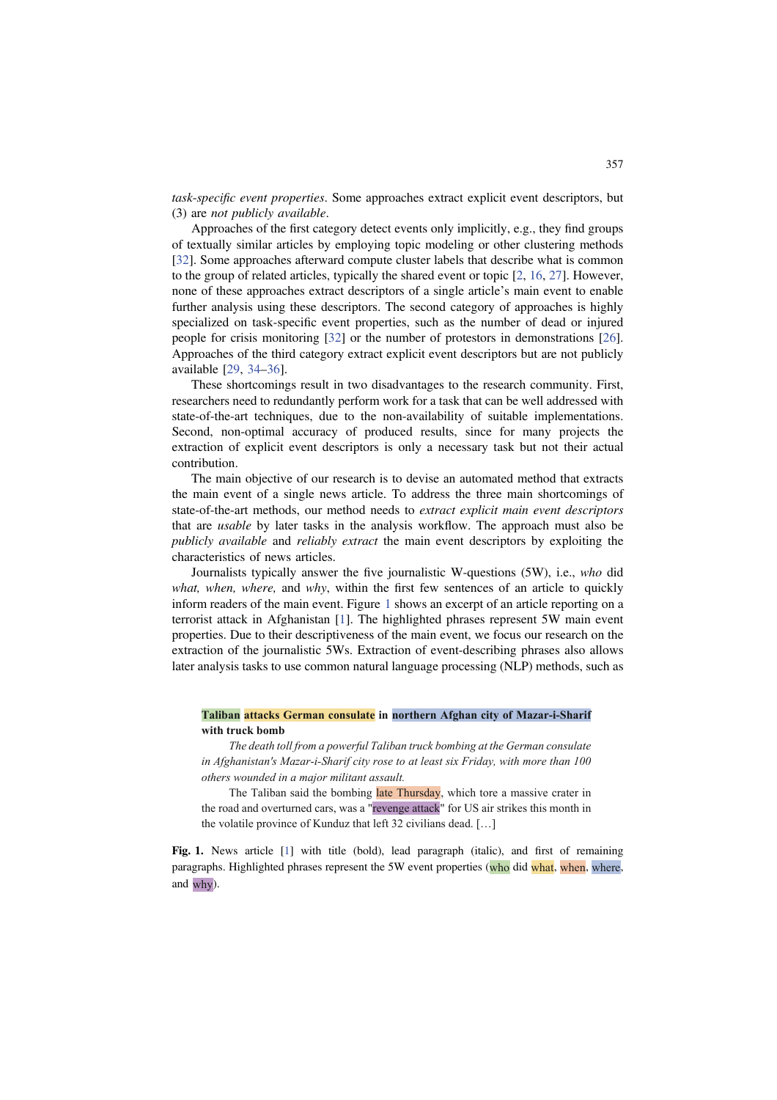task-specific event properties. Some approaches extract explicit event descriptors, but (3) are not publicly available.

Approaches of the first category detect events only implicitly, e.g., they find groups of textually similar articles by employing topic modeling or other clustering methods [32]. Some approaches afterward compute cluster labels that describe what is common to the group of related articles, typically the shared event or topic [2, 16, 27]. However, none of these approaches extract descriptors of a single article's main event to enable further analysis using these descriptors. The second category of approaches is highly specialized on task-specific event properties, such as the number of dead or injured people for crisis monitoring [32] or the number of protestors in demonstrations [26]. Approaches of the third category extract explicit event descriptors but are not publicly available [29, 34–36].

These shortcomings result in two disadvantages to the research community. First, researchers need to redundantly perform work for a task that can be well addressed with state-of-the-art techniques, due to the non-availability of suitable implementations. Second, non-optimal accuracy of produced results, since for many projects the extraction of explicit event descriptors is only a necessary task but not their actual contribution.

The main objective of our research is to devise an automated method that extracts the main event of a single news article. To address the three main shortcomings of state-of-the-art methods, our method needs to extract explicit main event descriptors that are usable by later tasks in the analysis workflow. The approach must also be publicly available and reliably extract the main event descriptors by exploiting the characteristics of news articles.

Journalists typically answer the five journalistic W-questions (5W), i.e., who did what, when, where, and why, within the first few sentences of an article to quickly inform readers of the main event. Figure 1 shows an excerpt of an article reporting on a terrorist attack in Afghanistan [1]. The highlighted phrases represent 5W main event properties. Due to their descriptiveness of the main event, we focus our research on the extraction of the journalistic 5Ws. Extraction of event-describing phrases also allows later analysis tasks to use common natural language processing (NLP) methods, such as

# **Taliban attacks German consulate in northern Afghan city of Mazar-i-Sharif**

**with truck bomb**  *The death toll from a powerful Taliban truck bombing at the German consulate in Afghanistan's Mazar-i-Sharif city rose to at least six Friday, with more than 100 others wounded in a major militant assault.* 

The Taliban said the bombing late Thursday, which tore a massive crater in the road and overturned cars, was a "revenge attack" for US air strikes this month in the volatile province of Kunduz that left 32 civilians dead. […]

Fig. 1. News article [1] with title (bold), lead paragraph (italic), and first of remaining paragraphs. Highlighted phrases represent the 5W event properties (who did what, when, where, and why).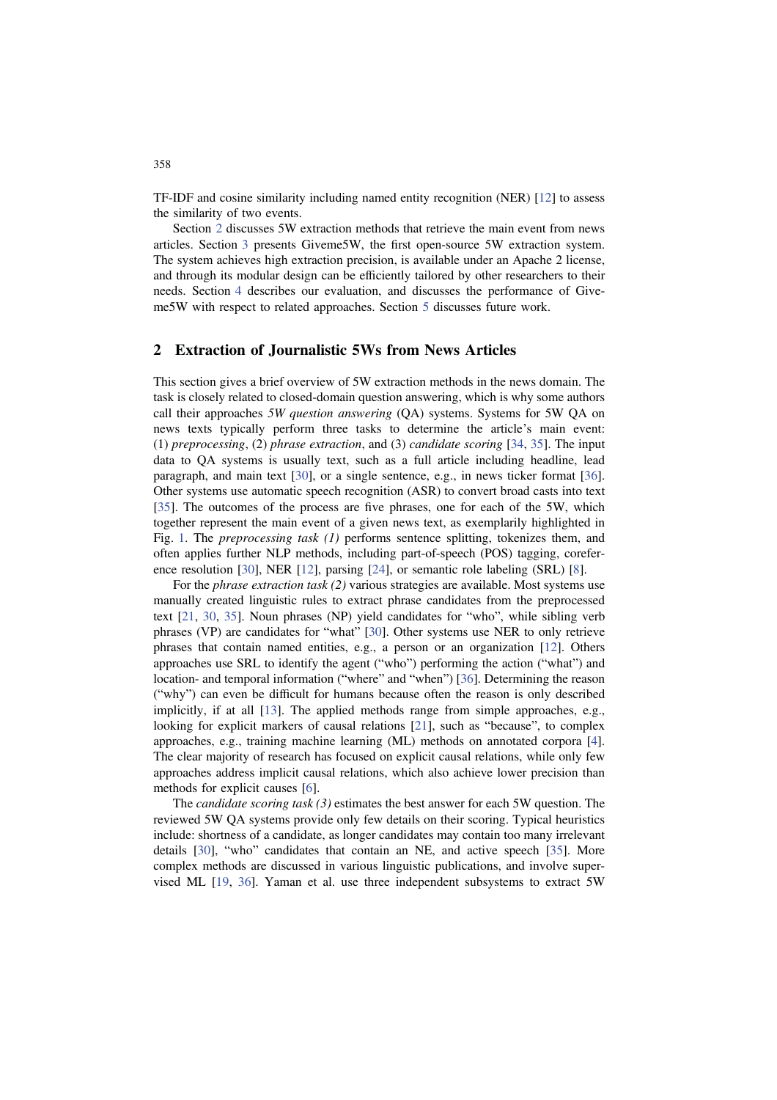TF-IDF and cosine similarity including named entity recognition (NER) [12] to assess the similarity of two events.

Section 2 discusses 5W extraction methods that retrieve the main event from news articles. Section 3 presents Giveme5W, the first open-source 5W extraction system. The system achieves high extraction precision, is available under an Apache 2 license, and through its modular design can be efficiently tailored by other researchers to their needs. Section 4 describes our evaluation, and discusses the performance of Giveme5W with respect to related approaches. Section 5 discusses future work.

# 2 Extraction of Journalistic 5Ws from News Articles

This section gives a brief overview of 5W extraction methods in the news domain. The task is closely related to closed-domain question answering, which is why some authors call their approaches 5W question answering (QA) systems. Systems for 5W QA on news texts typically perform three tasks to determine the article's main event: (1) preprocessing, (2) phrase extraction, and (3) candidate scoring [34, 35]. The input data to QA systems is usually text, such as a full article including headline, lead paragraph, and main text [30], or a single sentence, e.g., in news ticker format [36]. Other systems use automatic speech recognition (ASR) to convert broad casts into text [35]. The outcomes of the process are five phrases, one for each of the 5W, which together represent the main event of a given news text, as exemplarily highlighted in Fig. 1. The *preprocessing task (1)* performs sentence splitting, tokenizes them, and often applies further NLP methods, including part-of-speech (POS) tagging, coreference resolution [30], NER [12], parsing [24], or semantic role labeling (SRL) [8].

For the *phrase extraction task (2)* various strategies are available. Most systems use manually created linguistic rules to extract phrase candidates from the preprocessed text [21, 30, 35]. Noun phrases (NP) yield candidates for "who", while sibling verb phrases (VP) are candidates for "what" [30]. Other systems use NER to only retrieve phrases that contain named entities, e.g., a person or an organization [12]. Others approaches use SRL to identify the agent ("who") performing the action ("what") and location- and temporal information ("where" and "when") [36]. Determining the reason ("why") can even be difficult for humans because often the reason is only described implicitly, if at all [13]. The applied methods range from simple approaches, e.g., looking for explicit markers of causal relations [21], such as "because", to complex approaches, e.g., training machine learning (ML) methods on annotated corpora [4]. The clear majority of research has focused on explicit causal relations, while only few approaches address implicit causal relations, which also achieve lower precision than methods for explicit causes [6].

The *candidate scoring task*  $(3)$  estimates the best answer for each 5W question. The reviewed 5W QA systems provide only few details on their scoring. Typical heuristics include: shortness of a candidate, as longer candidates may contain too many irrelevant details [30], "who" candidates that contain an NE, and active speech [35]. More complex methods are discussed in various linguistic publications, and involve supervised ML [19, 36]. Yaman et al. use three independent subsystems to extract 5W

358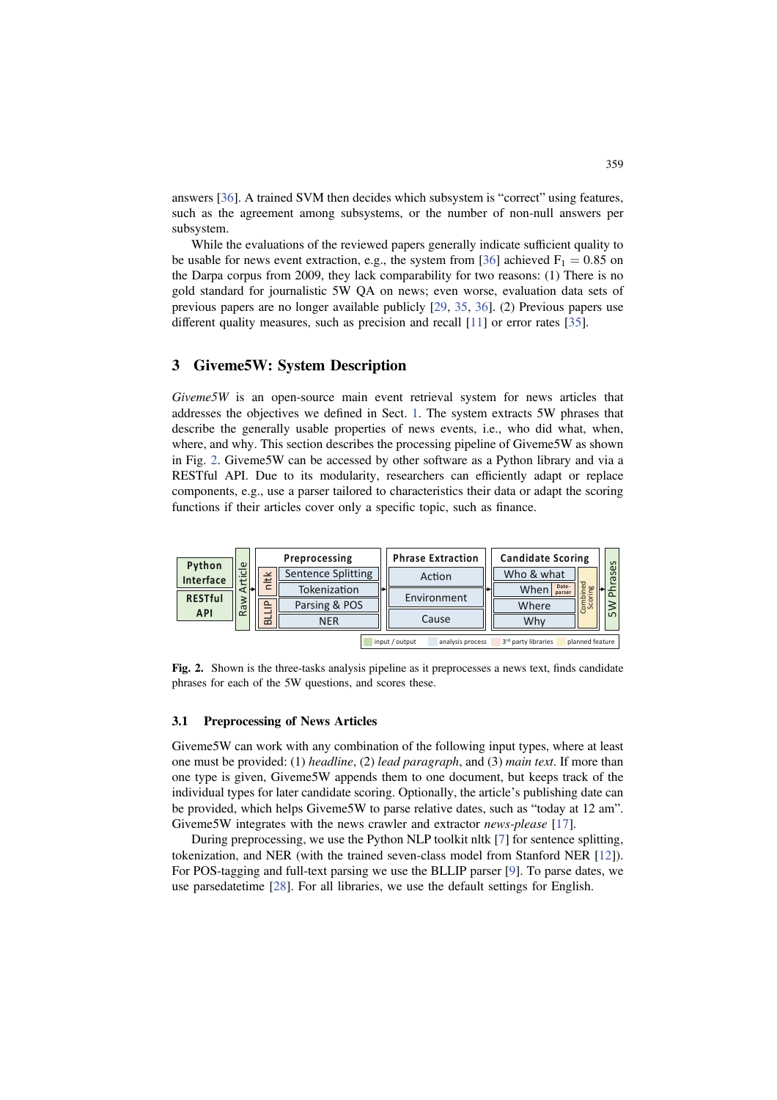answers [36]. A trained SVM then decides which subsystem is "correct" using features, such as the agreement among subsystems, or the number of non-null answers per subsystem.

While the evaluations of the reviewed papers generally indicate sufficient quality to be usable for news event extraction, e.g., the system from [36] achieved  $F_1 = 0.85$  on the Darpa corpus from 2009, they lack comparability for two reasons: (1) There is no gold standard for journalistic 5W QA on news; even worse, evaluation data sets of previous papers are no longer available publicly [29, 35, 36]. (2) Previous papers use different quality measures, such as precision and recall [11] or error rates [35].

# 3 Giveme5W: System Description

Giveme5W is an open-source main event retrieval system for news articles that addresses the objectives we defined in Sect. 1. The system extracts 5W phrases that describe the generally usable properties of news events, i.e., who did what, when, where, and why. This section describes the processing pipeline of Giveme5W as shown in Fig. 2. Giveme5W can be accessed by other software as a Python library and via a RESTful API. Due to its modularity, researchers can efficiently adapt or replace components, e.g., use a parser tailored to characteristics their data or adapt the scoring functions if their articles cover only a specific topic, such as finance.



Fig. 2. Shown is the three-tasks analysis pipeline as it preprocesses a news text, finds candidate phrases for each of the 5W questions, and scores these.

#### 3.1 Preprocessing of News Articles

Giveme5W can work with any combination of the following input types, where at least one must be provided: (1) headline, (2) lead paragraph, and (3) main text. If more than one type is given, Giveme5W appends them to one document, but keeps track of the individual types for later candidate scoring. Optionally, the article's publishing date can be provided, which helps Giveme5W to parse relative dates, such as "today at 12 am". Giveme5W integrates with the news crawler and extractor *news-please* [17].

During preprocessing, we use the Python NLP toolkit nltk [7] for sentence splitting, tokenization, and NER (with the trained seven-class model from Stanford NER [12]). For POS-tagging and full-text parsing we use the BLLIP parser [9]. To parse dates, we use parsedatetime [28]. For all libraries, we use the default settings for English.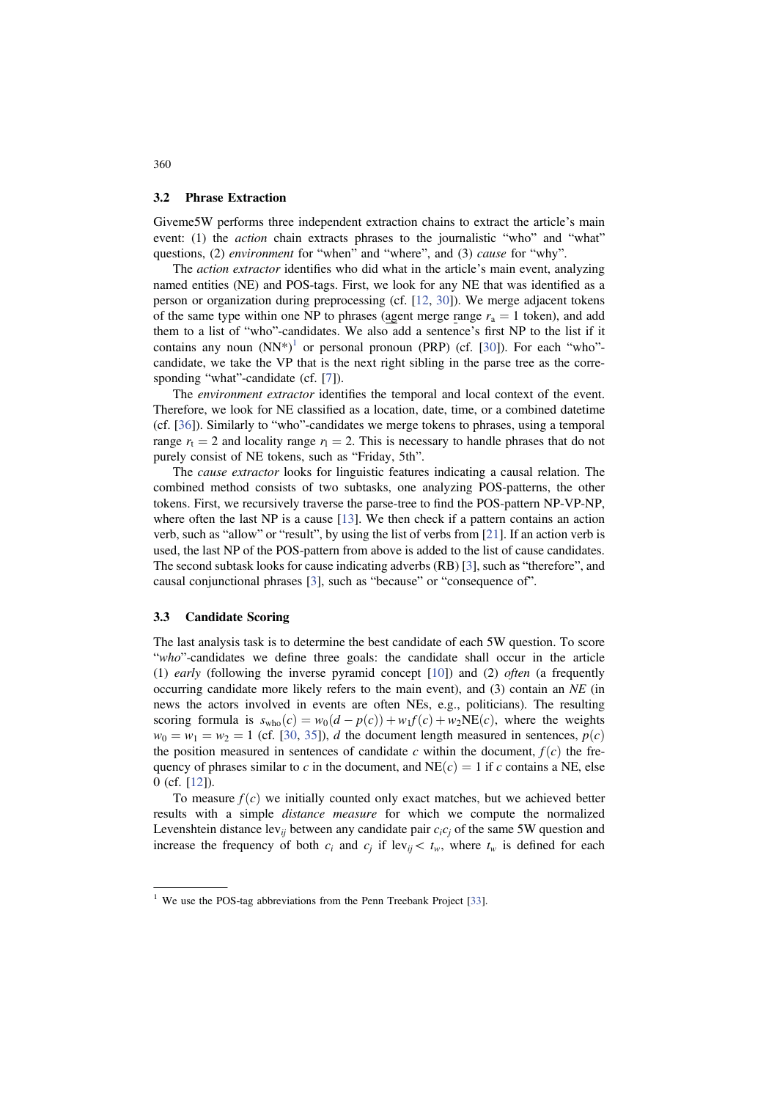#### 3.2 Phrase Extraction

Giveme5W performs three independent extraction chains to extract the article's main event: (1) the *action* chain extracts phrases to the journalistic "who" and "what" questions, (2) environment for "when" and "where", and (3) cause for "why".

The *action extractor* identifies who did what in the article's main event, analyzing named entities (NE) and POS-tags. First, we look for any NE that was identified as a person or organization during preprocessing (cf. [12, 30]). We merge adjacent tokens of the same type within one NP to phrases (agent merge range  $r_a = 1$  token), and add them to a list of "who"-candidates. We also add a sentence's first NP to the list if it contains any noun  $(NN^*)^1$  or personal pronoun (PRP) (cf. [30]). For each "who"candidate, we take the VP that is the next right sibling in the parse tree as the corresponding "what"-candidate (cf. [7]).

The *environment extractor* identifies the temporal and local context of the event. Therefore, we look for NE classified as a location, date, time, or a combined datetime (cf. [36]). Similarly to "who"-candidates we merge tokens to phrases, using a temporal range  $r_t = 2$  and locality range  $r_1 = 2$ . This is necessary to handle phrases that do not purely consist of NE tokens, such as "Friday, 5th".

The *cause extractor* looks for linguistic features indicating a causal relation. The combined method consists of two subtasks, one analyzing POS-patterns, the other tokens. First, we recursively traverse the parse-tree to find the POS-pattern NP-VP-NP, where often the last NP is a cause [13]. We then check if a pattern contains an action verb, such as "allow" or "result", by using the list of verbs from [21]. If an action verb is used, the last NP of the POS-pattern from above is added to the list of cause candidates. The second subtask looks for cause indicating adverbs (RB) [3], such as "therefore", and causal conjunctional phrases [3], such as "because" or "consequence of".

#### 3.3 Candidate Scoring

The last analysis task is to determine the best candidate of each 5W question. To score "who"-candidates we define three goals: the candidate shall occur in the article (1) early (following the inverse pyramid concept [10]) and (2) often (a frequently occurring candidate more likely refers to the main event), and  $(3)$  contain an NE (in news the actors involved in events are often NEs, e.g., politicians). The resulting scoring formula is  $s_{\text{who}}(c) = w_0(d - p(c)) + w_1f(c) + w_2NE(c)$ , where the weights  $w_0 = w_1 = w_2 = 1$  (cf. [30, 35]), d the document length measured in sentences,  $p(c)$ the position measured in sentences of candidate c within the document,  $f(c)$  the frequency of phrases similar to c in the document, and  $NE(c) = 1$  if c contains a NE, else 0 (cf. [12]).

To measure  $f(c)$  we initially counted only exact matches, but we achieved better results with a simple distance measure for which we compute the normalized Levenshtein distance lev<sub>ij</sub> between any candidate pair  $c_i c_j$  of the same 5W question and increase the frequency of both  $c_i$  and  $c_j$  if lev<sub>ij</sub> $\lt t_w$ , where  $t_w$  is defined for each

360

<sup>&</sup>lt;sup>1</sup> We use the POS-tag abbreviations from the Penn Treebank Project [33].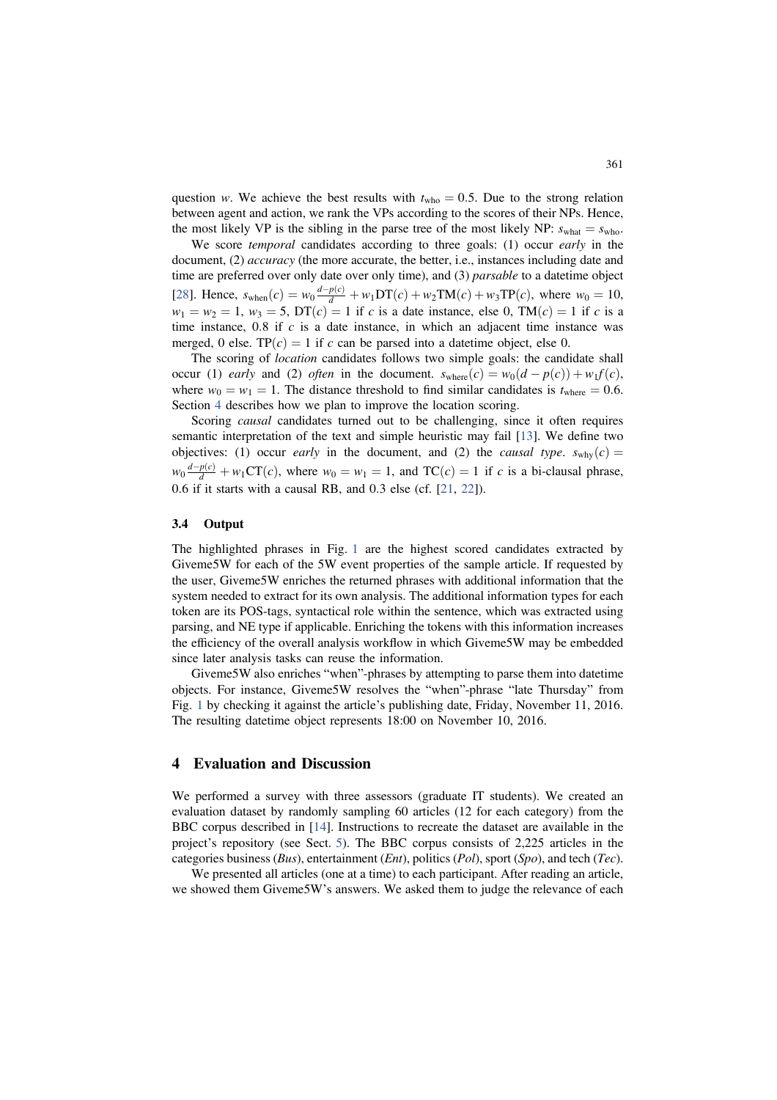question w. We achieve the best results with  $t_{\text{who}} = 0.5$ . Due to the strong relation between agent and action, we rank the VPs according to the scores of their NPs. Hence, the most likely VP is the sibling in the parse tree of the most likely NP:  $s_{\text{what}} = s_{\text{who}}$ .

We score *temporal* candidates according to three goals: (1) occur *early* in the document, (2) *accuracy* (the more accurate, the better, i.e., instances including date and time are preferred over only date over only time), and (3) parsable to a datetime object [28]. Hence,  $s_{\text{when}}(c) = w_0 \frac{d - p(c)}{d} + w_1 DT(c) + w_2 TM(c) + w_3 TP(c)$ , where  $w_0 = 10$ ,  $w_1 = w_2 = 1$ ,  $w_3 = 5$ ,  $DT(c) = 1$  if c is a date instance, else 0,  $TM(c) = 1$  if c is a time instance,  $0.8$  if c is a date instance, in which an adjacent time instance was merged, 0 else. TP $(c) = 1$  if c can be parsed into a datetime object, else 0.

The scoring of *location* candidates follows two simple goals: the candidate shall occur (1) early and (2) often in the document.  $s_{where}(c) = w_0(d - p(c)) + w_1f(c)$ , where  $w_0 = w_1 = 1$ . The distance threshold to find similar candidates is  $t_{\text{where}} = 0.6$ . Section 4 describes how we plan to improve the location scoring.

Scoring *causal* candidates turned out to be challenging, since it often requires semantic interpretation of the text and simple heuristic may fail [13]. We define two objectives: (1) occur early in the document, and (2) the causal type.  $s_{\text{whv}}(c) =$  $w_0 \frac{d-p(c)}{d} + w_1 \text{CT}(c)$ , where  $w_0 = w_1 = 1$ , and TC $(c) = 1$  if c is a bi-clausal phrase, 0:6 if it starts with a causal RB, and 0:3 else (cf. [21, 22]).

#### 3.4 Output

The highlighted phrases in Fig. 1 are the highest scored candidates extracted by Giveme5W for each of the 5W event properties of the sample article. If requested by the user, Giveme5W enriches the returned phrases with additional information that the system needed to extract for its own analysis. The additional information types for each token are its POS-tags, syntactical role within the sentence, which was extracted using parsing, and NE type if applicable. Enriching the tokens with this information increases the efficiency of the overall analysis workflow in which Giveme5W may be embedded since later analysis tasks can reuse the information.

Giveme5W also enriches "when"-phrases by attempting to parse them into datetime objects. For instance, Giveme5W resolves the "when"-phrase "late Thursday" from Fig. 1 by checking it against the article's publishing date, Friday, November 11, 2016. The resulting datetime object represents 18:00 on November 10, 2016.

# 4 Evaluation and Discussion

We performed a survey with three assessors (graduate IT students). We created an evaluation dataset by randomly sampling 60 articles (12 for each category) from the BBC corpus described in [14]. Instructions to recreate the dataset are available in the project's repository (see Sect. 5). The BBC corpus consists of 2,225 articles in the categories business (Bus), entertainment (Ent), politics (Pol), sport (Spo), and tech (Tec).

We presented all articles (one at a time) to each participant. After reading an article, we showed them Giveme5W's answers. We asked them to judge the relevance of each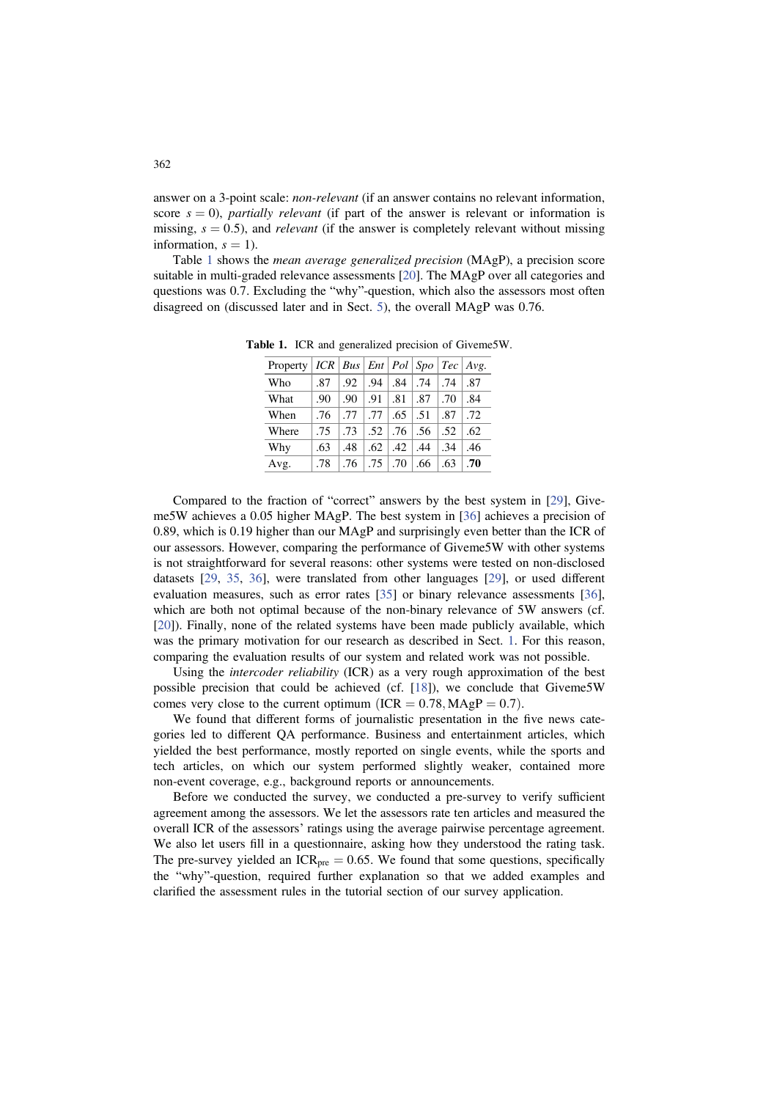answer on a 3-point scale: non-relevant (if an answer contains no relevant information, score  $s = 0$ ), *partially relevant* (if part of the answer is relevant or information is missing,  $s = 0.5$ ), and *relevant* (if the answer is completely relevant without missing information,  $s = 1$ ).

Table 1 shows the mean average generalized precision (MAgP), a precision score suitable in multi-graded relevance assessments [20]. The MAgP over all categories and questions was 0.7. Excluding the "why"-question, which also the assessors most often disagreed on (discussed later and in Sect. 5), the overall MAgP was 0.76.

| Property |     |     |     |     |     |     | $ICR   Bus   Ent   Pol   Spo   Tec   Avg.$ |
|----------|-----|-----|-----|-----|-----|-----|--------------------------------------------|
| Who      | .87 | .92 | .94 | .84 | .74 | .74 | .87                                        |
| What     | .90 | .90 | .91 | .81 | .87 | .70 | .84                                        |
| When     | .76 | .77 | .77 | .65 | .51 | .87 | .72                                        |
| Where    | .75 | .73 | .52 | .76 | .56 | .52 | .62                                        |
| Why      | .63 | .48 | .62 | .42 | .44 | .34 | .46                                        |
| Avg.     | .78 | .76 | .75 | .70 | .66 | .63 | .70                                        |

Table 1. ICR and generalized precision of Giveme5W.

Compared to the fraction of "correct" answers by the best system in [29], Giveme5W achieves a 0.05 higher MAgP. The best system in [36] achieves a precision of 0.89, which is 0.19 higher than our MAgP and surprisingly even better than the ICR of our assessors. However, comparing the performance of Giveme5W with other systems is not straightforward for several reasons: other systems were tested on non-disclosed datasets [29, 35, 36], were translated from other languages [29], or used different evaluation measures, such as error rates [35] or binary relevance assessments [36], which are both not optimal because of the non-binary relevance of 5W answers (cf. [20]). Finally, none of the related systems have been made publicly available, which was the primary motivation for our research as described in Sect. 1. For this reason, comparing the evaluation results of our system and related work was not possible.

Using the intercoder reliability (ICR) as a very rough approximation of the best possible precision that could be achieved (cf. [18]), we conclude that Giveme5W comes very close to the current optimum  $(ICR = 0.78, MAgP = 0.7)$ .

We found that different forms of journalistic presentation in the five news categories led to different QA performance. Business and entertainment articles, which yielded the best performance, mostly reported on single events, while the sports and tech articles, on which our system performed slightly weaker, contained more non-event coverage, e.g., background reports or announcements.

Before we conducted the survey, we conducted a pre-survey to verify sufficient agreement among the assessors. We let the assessors rate ten articles and measured the overall ICR of the assessors' ratings using the average pairwise percentage agreement. We also let users fill in a questionnaire, asking how they understood the rating task. The pre-survey yielded an  $ICR_{pre} = 0.65$ . We found that some questions, specifically the "why"-question, required further explanation so that we added examples and clarified the assessment rules in the tutorial section of our survey application.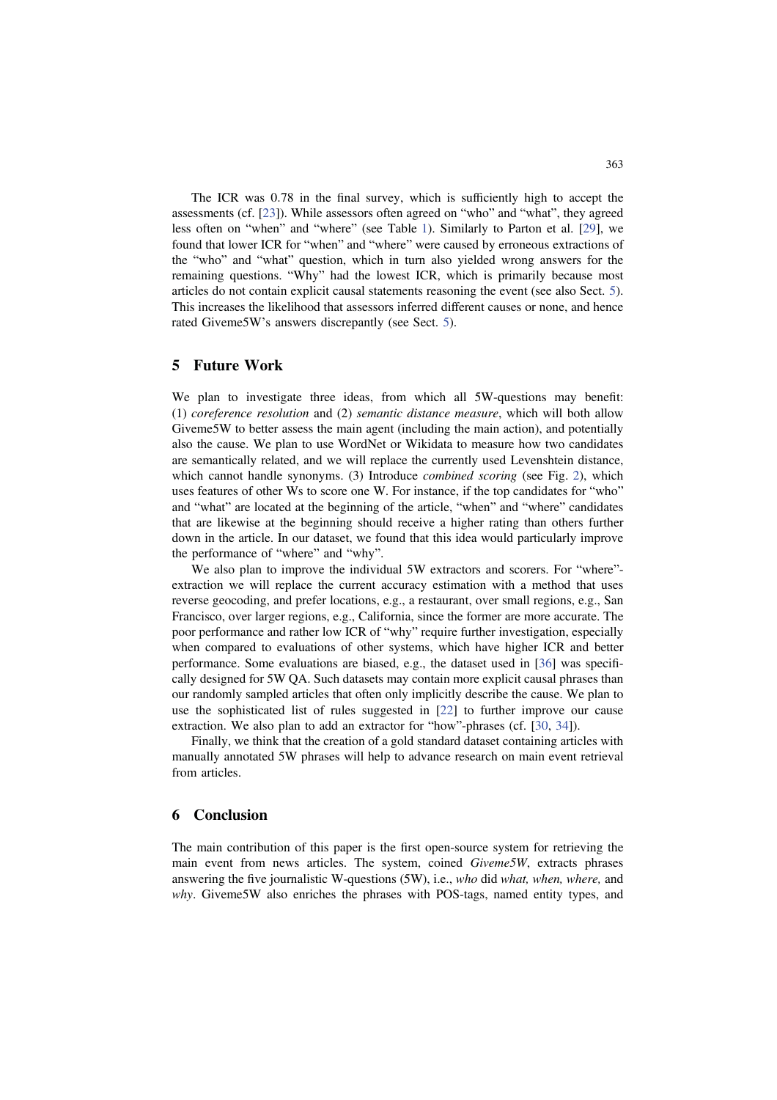The ICR was 0:78 in the final survey, which is sufficiently high to accept the assessments (cf. [23]). While assessors often agreed on "who" and "what", they agreed less often on "when" and "where" (see Table 1). Similarly to Parton et al. [29], we found that lower ICR for "when" and "where" were caused by erroneous extractions of the "who" and "what" question, which in turn also yielded wrong answers for the remaining questions. "Why" had the lowest ICR, which is primarily because most articles do not contain explicit causal statements reasoning the event (see also Sect. 5). This increases the likelihood that assessors inferred different causes or none, and hence rated Giveme5W's answers discrepantly (see Sect. 5).

# 5 Future Work

We plan to investigate three ideas, from which all 5W-questions may benefit: (1) coreference resolution and (2) semantic distance measure, which will both allow Giveme5W to better assess the main agent (including the main action), and potentially also the cause. We plan to use WordNet or Wikidata to measure how two candidates are semantically related, and we will replace the currently used Levenshtein distance, which cannot handle synonyms. (3) Introduce *combined scoring* (see Fig. 2), which uses features of other Ws to score one W. For instance, if the top candidates for "who" and "what" are located at the beginning of the article, "when" and "where" candidates that are likewise at the beginning should receive a higher rating than others further down in the article. In our dataset, we found that this idea would particularly improve the performance of "where" and "why".

We also plan to improve the individual 5W extractors and scorers. For "where" extraction we will replace the current accuracy estimation with a method that uses reverse geocoding, and prefer locations, e.g., a restaurant, over small regions, e.g., San Francisco, over larger regions, e.g., California, since the former are more accurate. The poor performance and rather low ICR of "why" require further investigation, especially when compared to evaluations of other systems, which have higher ICR and better performance. Some evaluations are biased, e.g., the dataset used in [36] was specifically designed for 5W QA. Such datasets may contain more explicit causal phrases than our randomly sampled articles that often only implicitly describe the cause. We plan to use the sophisticated list of rules suggested in [22] to further improve our cause extraction. We also plan to add an extractor for "how"-phrases (cf. [30, 34]).

Finally, we think that the creation of a gold standard dataset containing articles with manually annotated 5W phrases will help to advance research on main event retrieval from articles.

## 6 Conclusion

The main contribution of this paper is the first open-source system for retrieving the main event from news articles. The system, coined Giveme5W, extracts phrases answering the five journalistic W-questions (5W), i.e., who did what, when, where, and why. Giveme5W also enriches the phrases with POS-tags, named entity types, and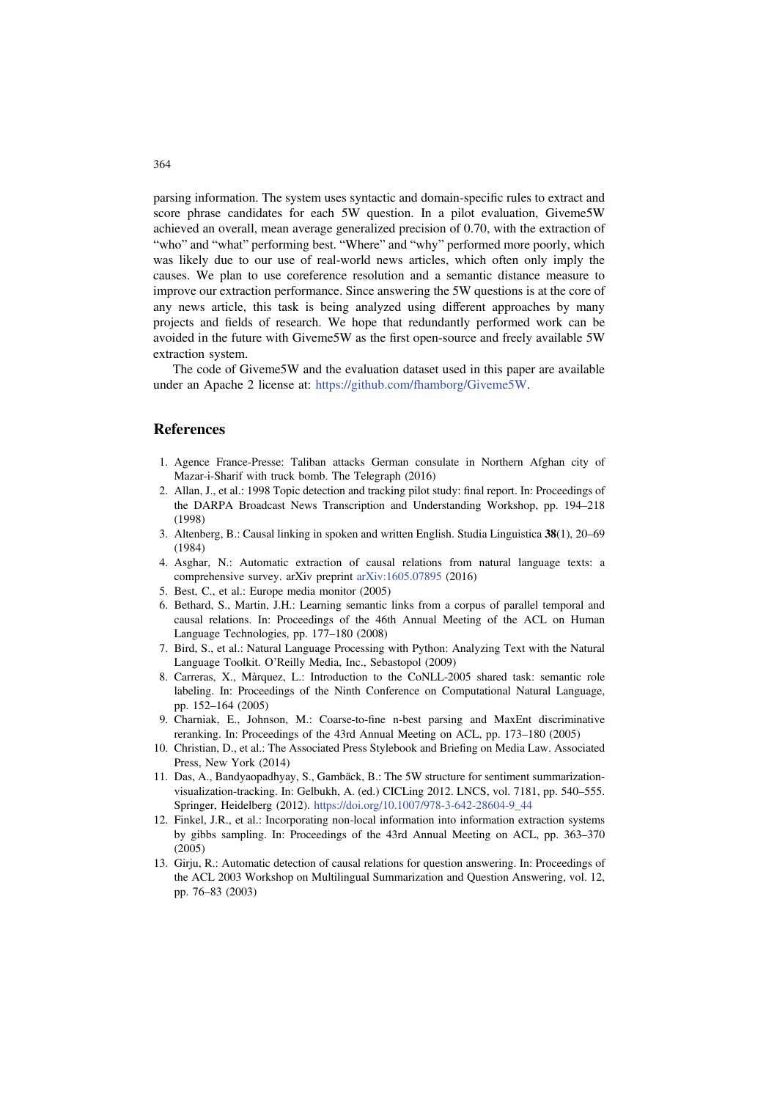parsing information. The system uses syntactic and domain-specific rules to extract and score phrase candidates for each 5W question. In a pilot evaluation, Giveme5W achieved an overall, mean average generalized precision of 0.70, with the extraction of "who" and "what" performing best. "Where" and "why" performed more poorly, which was likely due to our use of real-world news articles, which often only imply the causes. We plan to use coreference resolution and a semantic distance measure to improve our extraction performance. Since answering the 5W questions is at the core of any news article, this task is being analyzed using different approaches by many projects and fields of research. We hope that redundantly performed work can be avoided in the future with Giveme5W as the first open-source and freely available 5W extraction system.

The code of Giveme5W and the evaluation dataset used in this paper are available under an Apache 2 license at: https://github.com/fhamborg/Giveme5W.

## References

- 1. Agence France-Presse: Taliban attacks German consulate in Northern Afghan city of Mazar-i-Sharif with truck bomb. The Telegraph (2016)
- 2. Allan, J., et al.: 1998 Topic detection and tracking pilot study: final report. In: Proceedings of the DARPA Broadcast News Transcription and Understanding Workshop, pp. 194–218 (1998)
- 3. Altenberg, B.: Causal linking in spoken and written English. Studia Linguistica 38(1), 20–69 (1984)
- 4. Asghar, N.: Automatic extraction of causal relations from natural language texts: a comprehensive survey. arXiv preprint arXiv:1605.07895 (2016)
- 5. Best, C., et al.: Europe media monitor (2005)
- 6. Bethard, S., Martin, J.H.: Learning semantic links from a corpus of parallel temporal and causal relations. In: Proceedings of the 46th Annual Meeting of the ACL on Human Language Technologies, pp. 177–180 (2008)
- 7. Bird, S., et al.: Natural Language Processing with Python: Analyzing Text with the Natural Language Toolkit. O'Reilly Media, Inc., Sebastopol (2009)
- 8. Carreras, X., Màrquez, L.: Introduction to the CoNLL-2005 shared task: semantic role labeling. In: Proceedings of the Ninth Conference on Computational Natural Language, pp. 152–164 (2005)
- 9. Charniak, E., Johnson, M.: Coarse-to-fine n-best parsing and MaxEnt discriminative reranking. In: Proceedings of the 43rd Annual Meeting on ACL, pp. 173–180 (2005)
- 10. Christian, D., et al.: The Associated Press Stylebook and Briefing on Media Law. Associated Press, New York (2014)
- 11. Das, A., Bandyaopadhyay, S., Gambäck, B.: The 5W structure for sentiment summarizationvisualization-tracking. In: Gelbukh, A. (ed.) CICLing 2012. LNCS, vol. 7181, pp. 540–555. Springer, Heidelberg (2012). https://doi.org/10.1007/978-3-642-28604-9\_44
- 12. Finkel, J.R., et al.: Incorporating non-local information into information extraction systems by gibbs sampling. In: Proceedings of the 43rd Annual Meeting on ACL, pp. 363–370 (2005)
- 13. Girju, R.: Automatic detection of causal relations for question answering. In: Proceedings of the ACL 2003 Workshop on Multilingual Summarization and Question Answering, vol. 12, pp. 76–83 (2003)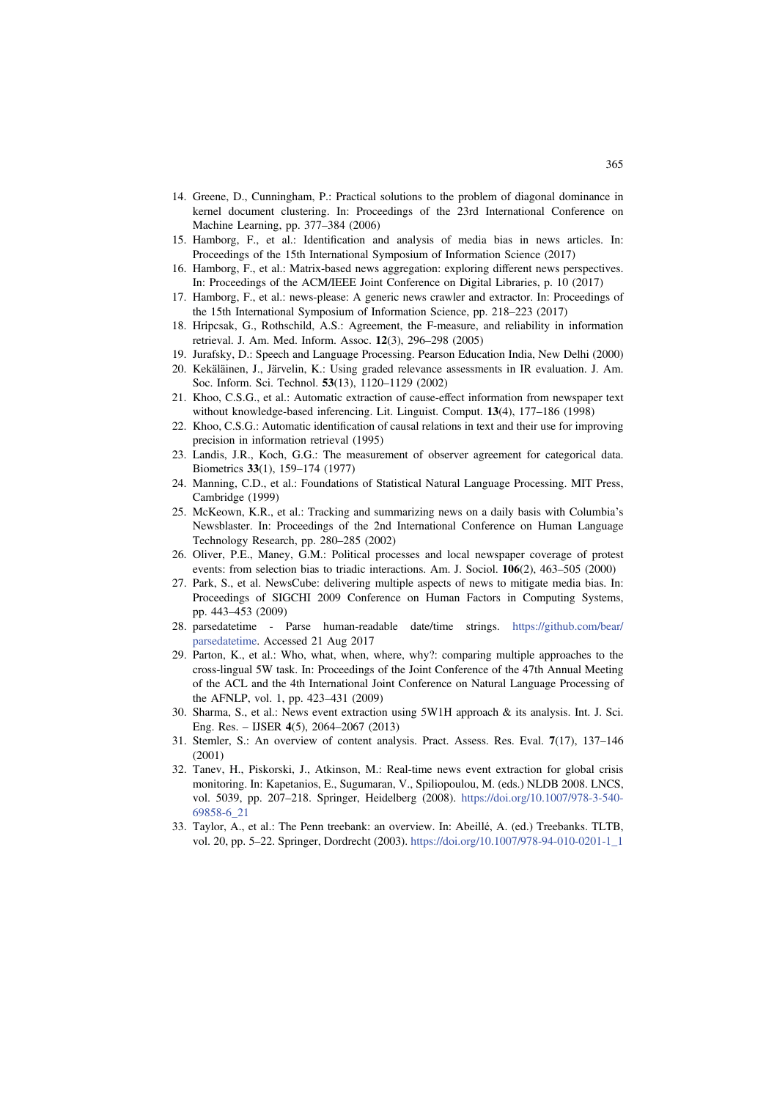- 14. Greene, D., Cunningham, P.: Practical solutions to the problem of diagonal dominance in kernel document clustering. In: Proceedings of the 23rd International Conference on Machine Learning, pp. 377–384 (2006)
- 15. Hamborg, F., et al.: Identification and analysis of media bias in news articles. In: Proceedings of the 15th International Symposium of Information Science (2017)
- 16. Hamborg, F., et al.: Matrix-based news aggregation: exploring different news perspectives. In: Proceedings of the ACM/IEEE Joint Conference on Digital Libraries, p. 10 (2017)
- 17. Hamborg, F., et al.: news-please: A generic news crawler and extractor. In: Proceedings of the 15th International Symposium of Information Science, pp. 218–223 (2017)
- 18. Hripcsak, G., Rothschild, A.S.: Agreement, the F-measure, and reliability in information retrieval. J. Am. Med. Inform. Assoc. 12(3), 296–298 (2005)
- 19. Jurafsky, D.: Speech and Language Processing. Pearson Education India, New Delhi (2000)
- 20. Kekäläinen, J., Järvelin, K.: Using graded relevance assessments in IR evaluation. J. Am. Soc. Inform. Sci. Technol. 53(13), 1120–1129 (2002)
- 21. Khoo, C.S.G., et al.: Automatic extraction of cause-effect information from newspaper text without knowledge-based inferencing. Lit. Linguist. Comput. 13(4), 177–186 (1998)
- 22. Khoo, C.S.G.: Automatic identification of causal relations in text and their use for improving precision in information retrieval (1995)
- 23. Landis, J.R., Koch, G.G.: The measurement of observer agreement for categorical data. Biometrics 33(1), 159–174 (1977)
- 24. Manning, C.D., et al.: Foundations of Statistical Natural Language Processing. MIT Press, Cambridge (1999)
- 25. McKeown, K.R., et al.: Tracking and summarizing news on a daily basis with Columbia's Newsblaster. In: Proceedings of the 2nd International Conference on Human Language Technology Research, pp. 280–285 (2002)
- 26. Oliver, P.E., Maney, G.M.: Political processes and local newspaper coverage of protest events: from selection bias to triadic interactions. Am. J. Sociol. 106(2), 463–505 (2000)
- 27. Park, S., et al. NewsCube: delivering multiple aspects of news to mitigate media bias. In: Proceedings of SIGCHI 2009 Conference on Human Factors in Computing Systems, pp. 443–453 (2009)
- 28. parsedatetime Parse human-readable date/time strings. https://github.com/bear/ parsedatetime. Accessed 21 Aug 2017
- 29. Parton, K., et al.: Who, what, when, where, why?: comparing multiple approaches to the cross-lingual 5W task. In: Proceedings of the Joint Conference of the 47th Annual Meeting of the ACL and the 4th International Joint Conference on Natural Language Processing of the AFNLP, vol. 1, pp. 423–431 (2009)
- 30. Sharma, S., et al.: News event extraction using 5W1H approach & its analysis. Int. J. Sci. Eng. Res. – IJSER 4(5), 2064–2067 (2013)
- 31. Stemler, S.: An overview of content analysis. Pract. Assess. Res. Eval. 7(17), 137–146 (2001)
- 32. Tanev, H., Piskorski, J., Atkinson, M.: Real-time news event extraction for global crisis monitoring. In: Kapetanios, E., Sugumaran, V., Spiliopoulou, M. (eds.) NLDB 2008. LNCS, vol. 5039, pp. 207–218. Springer, Heidelberg (2008). https://doi.org/10.1007/978-3-540- 69858-6\_21
- 33. Taylor, A., et al.: The Penn treebank: an overview. In: Abeillé, A. (ed.) Treebanks. TLTB, vol. 20, pp. 5–22. Springer, Dordrecht (2003). https://doi.org/10.1007/978-94-010-0201-1\_1